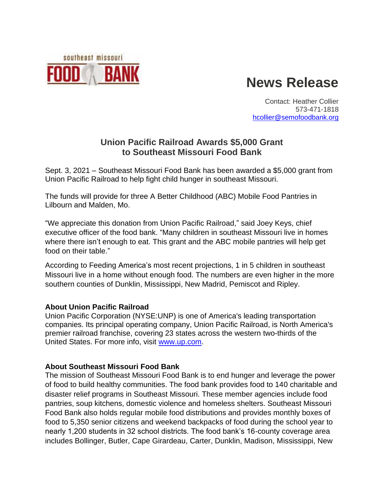

## **News Release**

Contact: Heather Collier 573-471-1818 [hcollier@semofoodbank.org](mailto:hcollier@semofoodbank.org)

## **Union Pacific Railroad Awards \$5,000 Grant to Southeast Missouri Food Bank**

Sept. 3, 2021 – Southeast Missouri Food Bank has been awarded a \$5,000 grant from Union Pacific Railroad to help fight child hunger in southeast Missouri.

The funds will provide for three A Better Childhood (ABC) Mobile Food Pantries in Lilbourn and Malden, Mo.

"We appreciate this donation from Union Pacific Railroad," said Joey Keys, chief executive officer of the food bank. "Many children in southeast Missouri live in homes where there isn't enough to eat. This grant and the ABC mobile pantries will help get food on their table."

According to Feeding America's most recent projections, 1 in 5 children in southeast Missouri live in a home without enough food. The numbers are even higher in the more southern counties of Dunklin, Mississippi, New Madrid, Pemiscot and Ripley.

## **About Union Pacific Railroad**

Union Pacific Corporation (NYSE:UNP) is one of America's leading transportation companies. Its principal operating company, Union Pacific Railroad, is North America's premier railroad franchise, covering 23 states across the western two-thirds of the United States. For more info, visit [www.up.com.](file:///C:/Users/jmann/Downloads/www.up.com)

## **About Southeast Missouri Food Bank**

The mission of Southeast Missouri Food Bank is to end hunger and leverage the power of food to build healthy communities. The food bank provides food to 140 charitable and disaster relief programs in Southeast Missouri. These member agencies include food pantries, soup kitchens, domestic violence and homeless shelters. Southeast Missouri Food Bank also holds regular mobile food distributions and provides monthly boxes of food to 5,350 senior citizens and weekend backpacks of food during the school year to nearly 1,200 students in 32 school districts. The food bank's 16-county coverage area includes Bollinger, Butler, Cape Girardeau, Carter, Dunklin, Madison, Mississippi, New